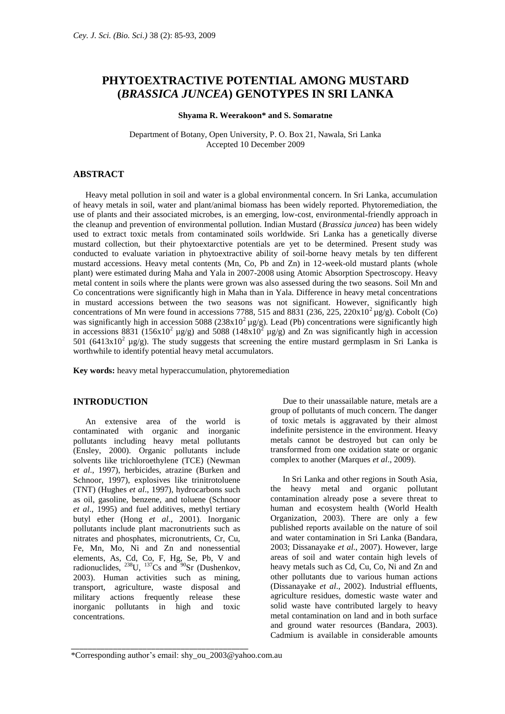# **PHYTOEXTRACTIVE POTENTIAL AMONG MUSTARD (***BRASSICA JUNCEA***) GENOTYPES IN SRI LANKA**

#### **Shyama R. Weerakoon\* and S. Somaratne**

Department of Botany, Open University, P. O. Box 21, Nawala, Sri Lanka Accepted 10 December 2009

## **ABSTRACT**

Heavy metal pollution in soil and water is a global environmental concern. In Sri Lanka, accumulation of heavy metals in soil, water and plant/animal biomass has been widely reported. Phytoremediation, the use of plants and their associated microbes, is an emerging, low-cost, environmental-friendly approach in the cleanup and prevention of environmental pollution. Indian Mustard (*Brassica juncea*) has been widely used to extract toxic metals from contaminated soils worldwide. Sri Lanka has a genetically diverse mustard collection, but their phytoextarctive potentials are yet to be determined. Present study was conducted to evaluate variation in phytoextractive ability of soil-borne heavy metals by ten different mustard accessions. Heavy metal contents (Mn, Co, Pb and Zn) in 12-week-old mustard plants (whole plant) were estimated during Maha and Yala in 2007-2008 using Atomic Absorption Spectroscopy. Heavy metal content in soils where the plants were grown was also assessed during the two seasons. Soil Mn and Co concentrations were significantly high in Maha than in Yala. Difference in heavy metal concentrations in mustard accessions between the two seasons was not significant. However, significantly high concentrations of Mn were found in accessions 7788, 515 and 8831 (236, 225, 220x10<sup>2</sup>  $\mu$ g/g). Cobolt (Co) was significantly high in accession 5088 ( $238x10^2 \mu g/g$ ). Lead (Pb) concentrations were significantly high in accessions 8831 (156x10<sup>2</sup>  $\mu$ g/g) and 5088 (148x10<sup>2</sup>  $\mu$ g/g) and Zn was significantly high in accession  $501$  (6413x10<sup>2</sup> µg/g). The study suggests that screening the entire mustard germplasm in Sri Lanka is worthwhile to identify potential heavy metal accumulators.

**Key words:** heavy metal hyperaccumulation, phytoremediation

#### **INTRODUCTION**

An extensive area of the world is contaminated with organic and inorganic pollutants including heavy metal pollutants (Ensley, 2000). Organic pollutants include solvents like trichloroethylene (TCE) (Newman *et al*., 1997), herbicides, atrazine (Burken and Schnoor, 1997), explosives like trinitrotoluene (TNT) (Hughes *et al*., 1997), hydrocarbons such as oil, gasoline, benzene, and toluene (Schnoor *et al*., 1995) and fuel additives, methyl tertiary butyl ether (Hong *et al*., 2001). Inorganic pollutants include plant macronutrients such as nitrates and phosphates, micronutrients, Cr, Cu, Fe, Mn, Mo, Ni and Zn and nonessential elements, As, Cd, Co, F, Hg, Se, Pb, V and radionuclides,  $^{238}$ U,  $^{137}$ Cs and  $^{90}$ Sr (Dushenkov, 2003). Human activities such as mining, transport, agriculture, waste disposal and military actions frequently release these inorganic pollutants in high and toxic concentrations.

Due to their unassailable nature, metals are a group of pollutants of much concern. The danger of toxic metals is aggravated by their almost indefinite persistence in the environment. Heavy metals cannot be destroyed but can only be transformed from one oxidation state or organic complex to another (Marques *et al*., 2009).

In Sri Lanka and other regions in South Asia, the heavy metal and organic pollutant contamination already pose a severe threat to human and ecosystem health (World Health Organization, 2003). There are only a few published reports available on the nature of soil and water contamination in Sri Lanka (Bandara, 2003; Dissanayake *et al*., 2007). However, large areas of soil and water contain high levels of heavy metals such as Cd, Cu, Co, Ni and Zn and other pollutants due to various human actions (Dissanayake *et al*., 2002). Industrial effluents, agriculture residues, domestic waste water and solid waste have contributed largely to heavy metal contamination on land and in both surface and ground water resources (Bandara, 2003). Cadmium is available in considerable amounts

\_\_\_\_\_\_\_\_\_\_\_\_\_\_\_\_\_\_\_\_\_\_\_\_\_\_\_\_\_\_\_\_\_\_\_\_\_\_\_\_\_\_

<sup>\*</sup>Corresponding author's email: shy\_ou\_2003@yahoo.com.au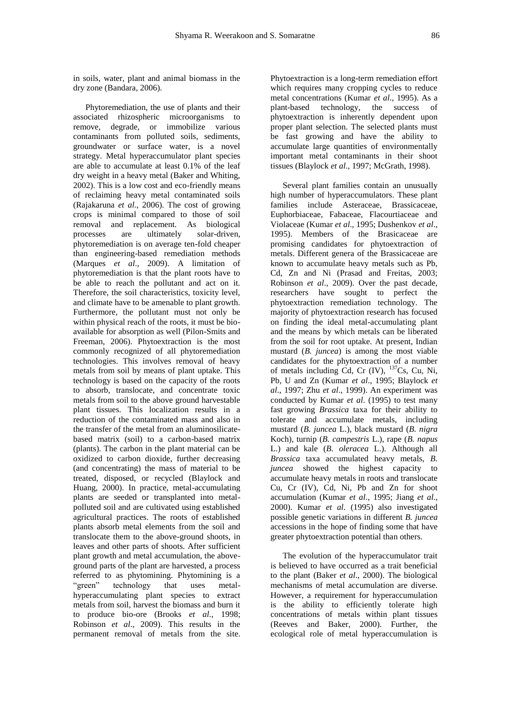in soils, water, plant and animal biomass in the dry zone (Bandara, 2006).

Phytoremediation, the use of plants and their associated rhizospheric microorganisms to remove, degrade, or immobilize various contaminants from polluted soils, sediments, groundwater or surface water, is a novel strategy. Metal hyperaccumulator plant species are able to accumulate at least 0.1% of the leaf dry weight in a heavy metal (Baker and Whiting, 2002). This is a low cost and eco-friendly means of reclaiming heavy metal contaminated soils (Rajakaruna *et al*., 2006). The cost of growing crops is minimal compared to those of soil removal and replacement. As biological processes are ultimately solar-driven, phytoremediation is on average ten-fold cheaper than engineering-based remediation methods (Marques *et al*., 2009). A limitation of phytoremediation is that the plant roots have to be able to reach the pollutant and act on it. Therefore, the soil characteristics, toxicity level, and climate have to be amenable to plant growth. Furthermore, the pollutant must not only be within physical reach of the roots, it must be bioavailable for absorption as well (Pilon-Smits and Freeman, 2006). Phytoextraction is the most commonly recognized of all phytoremediation technologies. This involves removal of heavy metals from soil by means of plant uptake. This technology is based on the capacity of the roots to absorb, translocate, and concentrate toxic metals from soil to the above ground harvestable plant tissues. This localization results in a reduction of the contaminated mass and also in the transfer of the metal from an aluminosilicatebased matrix (soil) to a carbon-based matrix (plants). The carbon in the plant material can be oxidized to carbon dioxide, further decreasing (and concentrating) the mass of material to be treated, disposed, or recycled (Blaylock and Huang, 2000). In practice, metal-accumulating plants are seeded or transplanted into metalpolluted soil and are cultivated using established agricultural practices. The roots of established plants absorb metal elements from the soil and translocate them to the above-ground shoots, in leaves and other parts of shoots. After sufficient plant growth and metal accumulation, the aboveground parts of the plant are harvested, a process referred to as phytomining. Phytomining is a "green" technology that uses metalhyperaccumulating plant species to extract metals from soil, harvest the biomass and burn it to produce bio-ore (Brooks *et al*., 1998; Robinson *et al*., 2009). This results in the permanent removal of metals from the site.

Phytoextraction is a long-term remediation effort which requires many cropping cycles to reduce metal concentrations (Kumar *et al*., 1995). As a plant-based technology, the success of phytoextraction is inherently dependent upon proper plant selection. The selected plants must be fast growing and have the ability to accumulate large quantities of environmentally important metal contaminants in their shoot tissues (Blaylock *et al*., 1997; McGrath, 1998).

Several plant families contain an unusually high number of hyperaccumulators. These plant families include Asteraceae, Brassicaceae, Euphorbiaceae, Fabaceae, Flacourtiaceae and Violaceae (Kumar *et al*., 1995; Dushenkov *et al*., 1995). Members of the Brasicaceae are promising candidates for phytoextraction of metals. Different genera of the Brassicaceae are known to accumulate heavy metals such as Pb, Cd, Zn and Ni (Prasad and Freitas, 2003; Robinson *et al*., 2009). Over the past decade, researchers have sought to perfect the phytoextraction remediation technology. The majority of phytoextraction research has focused on finding the ideal metal-accumulating plant and the means by which metals can be liberated from the soil for root uptake. At present, Indian mustard (*B. juncea*) is among the most viable candidates for the phytoextraction of a number of metals including Cd, Cr  $(IV)$ ,  $^{137}Cs$ , Cu, Ni, Pb, U and Zn (Kumar *et al*., 1995; Blaylock *et al*., 1997; Zhu *et al*., 1999). An experiment was conducted by Kumar *et al*. (1995) to test many fast growing *Brassica* taxa for their ability to tolerate and accumulate metals, including mustard (*B. juncea* L.), black mustard (*B. nigra* Koch), turnip (*B. campestris* L.), rape (*B. napus* L.) and kale (*B. oleracea* L.). Although all *Brassica* taxa accumulated heavy metals, *B. juncea* showed the highest capacity to accumulate heavy metals in roots and translocate Cu, Cr (IV), Cd, Ni, Pb and Zn for shoot accumulation (Kumar *et al*., 1995; Jiang *et al*., 2000). Kumar *et al*. (1995) also investigated possible genetic variations in different *B. juncea* accessions in the hope of finding some that have greater phytoextraction potential than others.

The evolution of the hyperaccumulator trait is believed to have occurred as a trait beneficial to the plant (Baker *et al*., 2000). The biological mechanisms of metal accumulation are diverse. However, a requirement for hyperaccumulation is the ability to efficiently tolerate high concentrations of metals within plant tissues (Reeves and Baker, 2000). Further, the ecological role of metal hyperaccumulation is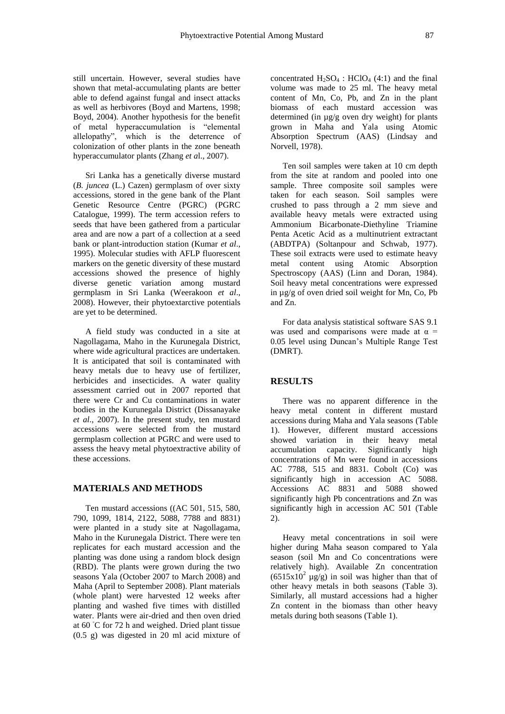still uncertain. However, several studies have shown that metal-accumulating plants are better able to defend against fungal and insect attacks as well as herbivores (Boyd and Martens, 1998; Boyd, 2004). Another hypothesis for the benefit of metal hyperaccumulation is "elemental allelopathy", which is the deterrence of colonization of other plants in the zone beneath hyperaccumulator plants (Zhang *et a*l., 2007).

Sri Lanka has a genetically diverse mustard (*B. juncea* (L.) Cazen) germplasm of over sixty accessions, stored in the gene bank of the Plant Genetic Resource Centre (PGRC) (PGRC Catalogue, 1999). The term accession refers to seeds that have been gathered from a particular area and are now a part of a collection at a seed bank or plant-introduction station (Kumar *et al*., 1995). Molecular studies with AFLP fluorescent markers on the genetic diversity of these mustard accessions showed the presence of highly diverse genetic variation among mustard germplasm in Sri Lanka (Weerakoon *et al*., 2008). However, their phytoextarctive potentials are yet to be determined.

A field study was conducted in a site at Nagollagama, Maho in the Kurunegala District, where wide agricultural practices are undertaken. It is anticipated that soil is contaminated with heavy metals due to heavy use of fertilizer, herbicides and insecticides. A water quality assessment carried out in 2007 reported that there were Cr and Cu contaminations in water bodies in the Kurunegala District (Dissanayake *et al*., 2007). In the present study, ten mustard accessions were selected from the mustard germplasm collection at PGRC and were used to assess the heavy metal phytoextractive ability of these accessions.

## **MATERIALS AND METHODS**

Ten mustard accessions ((AC 501, 515, 580, 790, 1099, 1814, 2122, 5088, 7788 and 8831) were planted in a study site at Nagollagama, Maho in the Kurunegala District. There were ten replicates for each mustard accession and the planting was done using a random block design (RBD). The plants were grown during the two seasons Yala (October 2007 to March 2008) and Maha (April to September 2008). Plant materials (whole plant) were harvested 12 weeks after planting and washed five times with distilled water. Plants were air-dried and then oven dried at 60 ◦C for 72 h and weighed. Dried plant tissue (0.5 g) was digested in 20 ml acid mixture of

concentrated  $H_2SO_4$ :  $HClO_4$  (4:1) and the final volume was made to 25 ml. The heavy metal content of Mn, Co, Pb, and Zn in the plant biomass of each mustard accession was determined (in µg/g oven dry weight) for plants grown in Maha and Yala using Atomic Absorption Spectrum (AAS) (Lindsay and Norvell, 1978).

Ten soil samples were taken at 10 cm depth from the site at random and pooled into one sample. Three composite soil samples were taken for each season. Soil samples were crushed to pass through a 2 mm sieve and available heavy metals were extracted using Ammonium Bicarbonate-Diethyline Triamine Penta Acetic Acid as a multinutrient extractant (ABDTPA) (Soltanpour and Schwab, 1977). These soil extracts were used to estimate heavy metal content using Atomic Absorption Spectroscopy (AAS) (Linn and Doran, 1984). Soil heavy metal concentrations were expressed in µg/g of oven dried soil weight for Mn, Co, Pb and Zn.

For data analysis statistical software SAS 9.1 was used and comparisons were made at  $\alpha$  = 0.05 level using Duncan's Multiple Range Test (DMRT).

### **RESULTS**

There was no apparent difference in the heavy metal content in different mustard accessions during Maha and Yala seasons (Table 1). However, different mustard accessions showed variation in their heavy metal accumulation capacity. Significantly high concentrations of Mn were found in accessions AC 7788, 515 and 8831. Cobolt (Co) was significantly high in accession AC 5088. Accessions AC 8831 and 5088 showed significantly high Pb concentrations and Zn was significantly high in accession AC 501 (Table 2).

Heavy metal concentrations in soil were higher during Maha season compared to Yala season (soil Mn and Co concentrations were relatively high). Available Zn concentration  $(6515x10<sup>2</sup> \text{ µg/g})$  in soil was higher than that of other heavy metals in both seasons (Table 3). Similarly, all mustard accessions had a higher Zn content in the biomass than other heavy metals during both seasons (Table 1).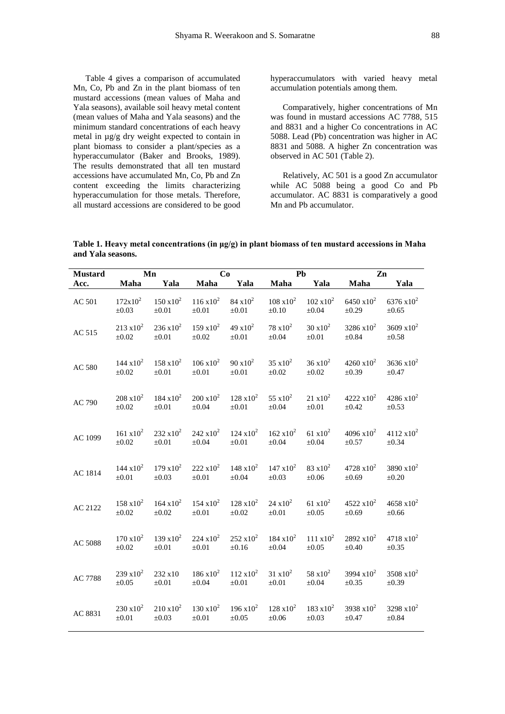Table 4 gives a comparison of accumulated Mn, Co, Pb and Zn in the plant biomass of ten mustard accessions (mean values of Maha and Yala seasons), available soil heavy metal content (mean values of Maha and Yala seasons) and the minimum standard concentrations of each heavy metal in µg/g dry weight expected to contain in plant biomass to consider a plant/species as a hyperaccumulator (Baker and Brooks, 1989). The results demonstrated that all ten mustard accessions have accumulated Mn, Co, Pb and Zn content exceeding the limits characterizing hyperaccumulation for those metals. Therefore, all mustard accessions are considered to be good hyperaccumulators with varied heavy metal accumulation potentials among them.

Comparatively, higher concentrations of Mn was found in mustard accessions AC 7788, 515 and 8831 and a higher Co concentrations in AC 5088. Lead (Pb) concentration was higher in AC 8831 and 5088. A higher Zn concentration was observed in AC 501 (Table 2).

Relatively, AC 501 is a good Zn accumulator while AC 5088 being a good Co and Pb accumulator. AC 8831 is comparatively a good Mn and Pb accumulator.

**Table 1. Heavy metal concentrations (in μg/g) in plant biomass of ten mustard accessions in Maha and Yala seasons.**

| <b>Mustard</b> |                      | Mn                  | Co                  |                     | Pb                  |                     | Zn                   |                      |  |
|----------------|----------------------|---------------------|---------------------|---------------------|---------------------|---------------------|----------------------|----------------------|--|
| Acc.           | Maha                 | Yala                | Maha                | Yala                | Maha                | Yala                | Maha                 | Yala                 |  |
| AC 501         | $172x10^2$           | $150 \times 10^{2}$ | $116 \times 10^{2}$ | $84 \times 10^2$    | $108 \times 10^{2}$ | $102 \times 10^{2}$ | 6450 $x10^2$         | 6376 $x10^2$         |  |
|                | $\pm 0.03$           | $\pm 0.01$          | $\pm 0.01$          | $\pm 0.01$          | $\pm 0.10$          | $\pm 0.04$          | $\pm 0.29$           | $\pm 0.65$           |  |
| AC 515         | $213 \times 10^{2}$  | $236 \times 10^2$   | $159 \times 10^{2}$ | $49 \times 10^{2}$  | $78 \times 10^2$    | $30 \times 10^2$    | $3286 \times 10^{2}$ | $3609 \times 10^{2}$ |  |
|                | $\pm 0.02$           | $\pm 0.01$          | $\pm 0.02$          | $\pm 0.01$          | $\pm 0.04$          | $\pm 0.01$          | $\pm 0.84$           | $\pm 0.58$           |  |
| AC 580         | $144 \times 10^{2}$  | $158 \times 10^{2}$ | $106 \times 10^{2}$ | $90 \times 10^{2}$  | $35 \times 10^2$    | $36 \times 10^{2}$  | $4260 \times 10^{2}$ | $3636 \times 10^{2}$ |  |
|                | $\pm 0.02$           | $\pm 0.01$          | $\pm 0.01$          | $\pm 0.01$          | $\pm 0.02$          | $\pm 0.02$          | ±0.39                | $\pm 0.47$           |  |
| AC 790         | $208 \times 10^{2}$  | $184 \times 10^{2}$ | $200 \times 10^{2}$ | $128 \times 10^{2}$ | $55 \times 10^2$    | $21 \times 10^2$    | $4222 \times 10^{2}$ | $4286 \times 10^{2}$ |  |
|                | $\pm 0.02$           | $\pm 0.01$          | ±0.04               | $\pm 0.01$          | $\pm 0.04$          | $\pm 0.01$          | $\pm 0.42$           | $\pm 0.53$           |  |
| AC 1099        | $161 \text{ x} 10^2$ | $232 \times 10^2$   | $242 \times 10^2$   | $124 \times 10^{2}$ | $162 \times 10^{2}$ | $61 \times 10^{2}$  | $4096 \times 10^{2}$ | $4112 \times 10^{2}$ |  |
|                | $\pm 0.02$           | $\pm 0.01$          | ±0.04               | $\pm 0.01$          | $\pm 0.04$          | $\pm 0.04$          | $\pm 0.57$           | $\pm 0.34$           |  |
| AC 1814        | $144 \times 10^{2}$  | $179 \times 10^{2}$ | $222 \times 10^2$   | $148 \times 10^{2}$ | $147 \times 10^{2}$ | $83 \times 10^2$    | $4728 \times 10^{2}$ | 3890 $x10^2$         |  |
|                | $\pm 0.01$           | $\pm 0.03$          | $\pm 0.01$          | $\pm 0.04$          | $\pm 0.03$          | $\pm 0.06$          | ±0.69                | $\pm 0.20$           |  |
| AC 2122        | $158 \times 10^{2}$  | $164 \times 10^{2}$ | $154 \times 10^{2}$ | $128 \times 10^{2}$ | $24 \times 10^2$    | $61 \times 10^{2}$  | $4522 \times 10^{2}$ | $4658 \times 10^{2}$ |  |
|                | $\pm 0.02$           | $\pm 0.02$          | $\pm 0.01$          | $\pm 0.02$          | $\pm 0.01$          | $\pm 0.05$          | ±0.69                | $\pm 0.66$           |  |
| AC 5088        | $170 \times 10^{2}$  | $139 \times 10^{2}$ | $224 \times 10^2$   | $252 \times 10^2$   | $184 \times 10^{2}$ | $111 \text{ x}10^2$ | $2892 \times 10^{2}$ | $4718 \times 10^{2}$ |  |
|                | $\pm 0.02$           | $\pm 0.01$          | $\pm 0.01$          | $\pm 0.16$          | $\pm 0.04$          | $\pm 0.05$          | $\pm 0.40$           | $\pm 0.35$           |  |
| AC 7788        | $239 \times 10^{2}$  | 232 x10             | $186 \times 10^{2}$ | $112 \times 10^{2}$ | $31 \times 10^2$    | $58 \times 10^2$    | 3994 $x10^2$         | $3508 \times 10^{2}$ |  |
|                | $\pm 0.05$           | $\pm 0.01$          | ±0.04               | $\pm 0.01$          | $\pm 0.01$          | $\pm 0.04$          | $\pm 0.35$           | ±0.39                |  |
| AC 8831        | $230 \times 10^2$    | $210 \times 10^{2}$ | $130 \times 10^{2}$ | $196 \times 10^{2}$ | $128 \times 10^{2}$ | $183 \times 10^{2}$ | 3938 $x10^2$         | $3298 \times 10^{2}$ |  |
|                | $\pm 0.01$           | $\pm 0.03$          | $\pm 0.01$          | $\pm 0.05$          | $\pm 0.06$          | $\pm 0.03$          | $\pm 0.47$           | $\pm 0.84$           |  |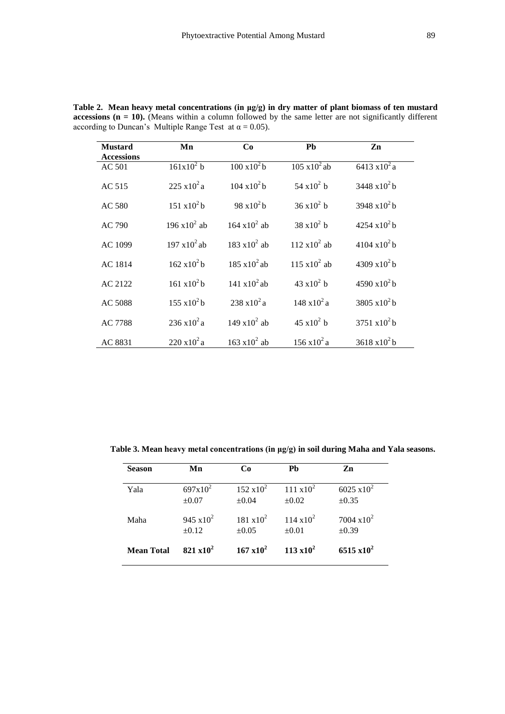| <b>Mustard</b>    | Mn                             | Co                   | <b>Ph</b>             | Zn                      |
|-------------------|--------------------------------|----------------------|-----------------------|-------------------------|
| <b>Accessions</b> |                                |                      |                       |                         |
| AC 501            | $161x10^2 b$                   | $100 \times 10^2$ b  | $105 \times 10^2$ ab  | $6413 \times 10^{2}$ a  |
| AC 515            | $225 \times 10^2$ a            | $104 \times 10^2$ b  | 54 $x10^2$ b          | $3448 \times 10^2$ b    |
| AC 580            | $151 \text{ x} 10^2 \text{ h}$ | 98 x $10^2$ b        | $36 \times 10^2$ b    | $3948 \times 10^2$ b    |
| AC 790            | 196 x10 <sup>2</sup> ab        | $164 \times 10^2$ ab | $38 \times 10^2$ b    | $4254 \times 10^{2}$ b  |
| AC 1099           | $197 \times 10^2$ ab           | $183 \times 10^2$ ab | $112 \times 10^2$ ab  | $4104 \times 10^{2}$ h  |
| AC 1814           | $162 \times 10^2$ b            | $185 \times 10^2$ ab | $115 \times 10^2$ ab  | 4309 x10 <sup>2</sup> b |
| AC 2122           | $161 \times 10^2$ b            | 141 $x10^2$ ab       | 43 x $10^2$ h         | $4590 \times 10^{2}$ b  |
| AC 5088           | $155 \times 10^2$ b            | $238 \times 10^2$ a  | $148 \times 10^2$ a   | 3805 $x10^2$ b          |
| AC 7788           | $236 \times 10^2$ a            | $149 \times 10^2$ ab | $45 \times 10^2$ b    | 3751 $x10^2$ b          |
| AC 8831           | $220 \times 10^2$ a            | $163 \times 10^2$ ab | $156 \times 10^{2}$ a | $3618 \times 10^2 b$    |

**Table 2. Mean heavy metal concentrations (in μg/g) in dry matter of plant biomass of ten mustard accessions (n = 10).** (Means within a column followed by the same letter are not significantly different according to Duncan's Multiple Range Test at  $\alpha = 0.05$ ).

| Table 3. Mean heavy metal concentrations (in µg/g) in soil during Maha and Yala seasons. |  |  |  |  |  |  |
|------------------------------------------------------------------------------------------|--|--|--|--|--|--|
|                                                                                          |  |  |  |  |  |  |

| <b>Season</b>     | Mn                  | Co                  | Pb                   | Zn                   |
|-------------------|---------------------|---------------------|----------------------|----------------------|
| Yala              | $697x10^2$          | $152 \times 10^{2}$ | $111 \text{ x} 10^2$ | $6025 \times 10^{2}$ |
|                   | $\pm 0.07$          | $\pm 0.04$          | $\pm 0.02$           | $\pm 0.35$           |
| Maha              | $945 \times 10^{2}$ | $181 \times 10^{2}$ | $114 \times 10^{2}$  | $7004 \times 10^{2}$ |
|                   | $\pm 0.12$          | $\pm 0.05$          | $\pm 0.01$           | $\pm 0.39$           |
| <b>Mean Total</b> | $821 \times 10^2$   | $167 \times 10^{2}$ | $113 \times 10^2$    | $6515 \times 10^{2}$ |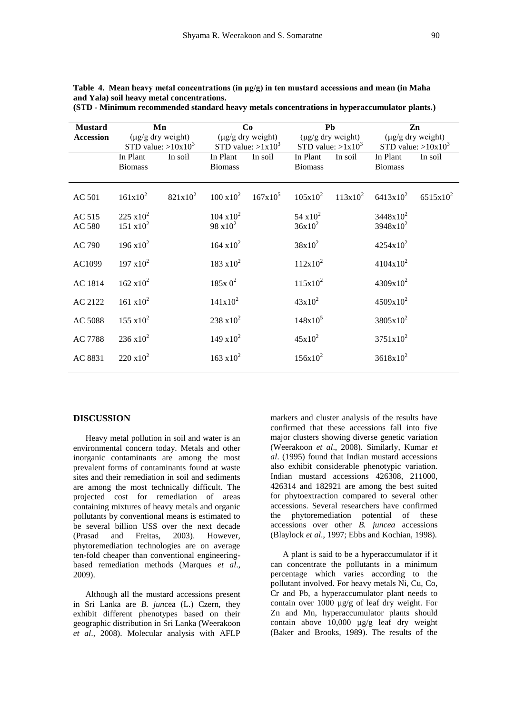| <b>Mustard</b>   | Mn                                         |            | Co                                             |                                         |                                                | Pb         | Zn                                         |             |
|------------------|--------------------------------------------|------------|------------------------------------------------|-----------------------------------------|------------------------------------------------|------------|--------------------------------------------|-------------|
| <b>Accession</b> | (µg/g dry weight)<br>STD value: $>10x10^3$ |            | $(\mu g/g$ dry weight)<br>STD value: $>1x10^3$ |                                         | $(\mu g/g$ dry weight)<br>STD value: $>1x10^3$ |            | (µg/g dry weight)<br>STD value: $>10x10^3$ |             |
|                  | In Plant<br><b>Biomass</b>                 | In soil    | In Plant<br><b>Biomass</b>                     | In soil                                 | In Plant<br><b>Biomass</b>                     | In soil    | In Plant<br><b>Biomass</b>                 | In soil     |
| <b>AC 501</b>    | $161x10^2$                                 | $821x10^2$ |                                                | $100 \times 10^{2}$ $167 \times 10^{5}$ | $105x10^2$                                     | $113x10^2$ | $6413x10^2$                                | $6515x10^2$ |
| AC 515<br>AC 580 | $225 \times 10^2$<br>$151 \text{ x} 10^2$  |            | $104 \times 10^{2}$<br>$98 \times 10^2$        |                                         | 54 $x10^2$<br>$36x10^2$                        |            | $3448x10^2$<br>$3948x10^2$                 |             |
| AC 790           | $196 \times 10^{2}$                        |            | $164 \times 10^{2}$                            |                                         | $38x10^2$                                      |            | $4254x10^2$                                |             |
| AC1099           | $197 \times 10^{2}$                        |            | $183 \times 10^{2}$                            |                                         | $112x10^2$                                     |            | $4104x10^2$                                |             |
| AC 1814          | $162 \times 10^{2}$                        |            | $185x0^2$                                      |                                         | $115x10^2$                                     |            | $4309x10^2$                                |             |
| AC 2122          | $161 \times 10^{2}$                        |            | $141x10^2$                                     |                                         | $43x10^2$                                      |            | $4509x10^2$                                |             |
| AC 5088          | $155 \times 10^{2}$                        |            | $238 \times 10^{2}$                            |                                         | $148x10^5$                                     |            | $3805x10^2$                                |             |
| AC 7788          | $236 \times 10^{2}$                        |            | $149 \times 10^{2}$                            |                                         | $45x10^2$                                      |            | $3751x10^2$                                |             |
| AC 8831          | $220 \times 10^2$                          |            | $163 \times 10^{2}$                            |                                         | $156x10^2$                                     |            | $3618x10^2$                                |             |

**Table 4. Mean heavy metal concentrations (in μg/g) in ten mustard accessions and mean (in Maha and Yala) soil heavy metal concentrations.** 

|  |  |  | (STD - Minimum recommended standard heavy metals concentrations in hyperaccumulator plants.) |  |
|--|--|--|----------------------------------------------------------------------------------------------|--|
|  |  |  |                                                                                              |  |

## **DISCUSSION**

Heavy metal pollution in soil and water is an environmental concern today. Metals and other inorganic contaminants are among the most prevalent forms of contaminants found at waste sites and their remediation in soil and sediments are among the most technically difficult. The projected cost for remediation of areas containing mixtures of heavy metals and organic pollutants by conventional means is estimated to be several billion US\$ over the next decade (Prasad and Freitas, 2003). However, phytoremediation technologies are on average ten-fold cheaper than conventional engineeringbased remediation methods (Marques *et al*., 2009).

Although all the mustard accessions present in Sri Lanka are *B. jun*cea (L.) Czern, they exhibit different phenotypes based on their geographic distribution in Sri Lanka (Weerakoon *et al*., 2008). Molecular analysis with AFLP

markers and cluster analysis of the results have confirmed that these accessions fall into five major clusters showing diverse genetic variation (Weerakoon *et al*., 2008). Similarly, Kumar *et al*. (1995) found that Indian mustard accessions also exhibit considerable phenotypic variation. Indian mustard accessions 426308, 211000, 426314 and 182921 are among the best suited for phytoextraction compared to several other accessions. Several researchers have confirmed the phytoremediation potential of these accessions over other *B. juncea* accessions (Blaylock *et al*., 1997; Ebbs and Kochian, 1998).

A plant is said to be a hyperaccumulator if it can concentrate the pollutants in a minimum percentage which varies according to the pollutant involved. For heavy metals Ni, Cu, Co, Cr and Pb, a hyperaccumulator plant needs to contain over 1000 µg/g of leaf dry weight. For Zn and Mn, hyperaccumulator plants should contain above 10,000 µg/g leaf dry weight (Baker and Brooks, 1989). The results of the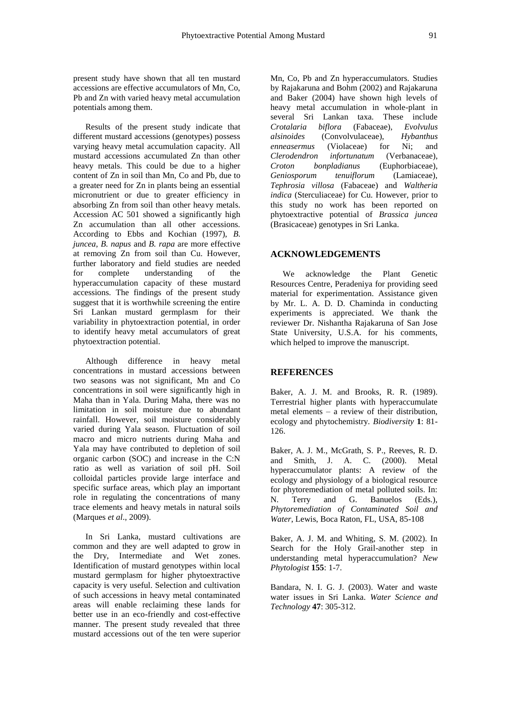present study have shown that all ten mustard accessions are effective accumulators of Mn, Co, Pb and Zn with varied heavy metal accumulation potentials among them.

Results of the present study indicate that different mustard accessions (genotypes) possess varying heavy metal accumulation capacity. All mustard accessions accumulated Zn than other heavy metals. This could be due to a higher content of Zn in soil than Mn, Co and Pb, due to a greater need for Zn in plants being an essential micronutrient or due to greater efficiency in absorbing Zn from soil than other heavy metals. Accession AC 501 showed a significantly high Zn accumulation than all other accessions. According to Ebbs and Kochian (1997), *B. juncea*, *B. napus* and *B. rapa* are more effective at removing Zn from soil than Cu. However, further laboratory and field studies are needed for complete understanding of the hyperaccumulation capacity of these mustard accessions. The findings of the present study suggest that it is worthwhile screening the entire Sri Lankan mustard germplasm for their variability in phytoextraction potential, in order to identify heavy metal accumulators of great phytoextraction potential.

Although difference in heavy metal concentrations in mustard accessions between two seasons was not significant, Mn and Co concentrations in soil were significantly high in Maha than in Yala. During Maha, there was no limitation in soil moisture due to abundant rainfall. However, soil moisture considerably varied during Yala season. Fluctuation of soil macro and micro nutrients during Maha and Yala may have contributed to depletion of soil organic carbon (SOC) and increase in the C:N ratio as well as variation of soil pH. Soil colloidal particles provide large interface and specific surface areas, which play an important role in regulating the concentrations of many trace elements and heavy metals in natural soils (Marques *et al*., 2009).

In Sri Lanka, mustard cultivations are common and they are well adapted to grow in the Dry, Intermediate and Wet zones. Identification of mustard genotypes within local mustard germplasm for higher phytoextractive capacity is very useful. Selection and cultivation of such accessions in heavy metal contaminated areas will enable reclaiming these lands for better use in an eco-friendly and cost-effective manner. The present study revealed that three mustard accessions out of the ten were superior Mn, Co, Pb and Zn hyperaccumulators. Studies by Rajakaruna and Bohm (2002) and Rajakaruna and Baker (2004) have shown high levels of heavy metal accumulation in whole-plant in several Sri Lankan taxa. These include *Crotalaria biflora* (Fabaceae), *Evolvulus alsinoides* (Convolvulaceae), *Hybanthus enneasermus* (Violaceae) for Ni; and *Clerodendron infortunatum* (Verbanaceae), *Croton bonpladianus* (Euphorbiaceae), *Geniosporum tenuiflorum* (Lamiaceae), *Tephrosia villosa* (Fabaceae) and *Waltheria indica* (Sterculiaceae) for Cu. However, prior to this study no work has been reported on phytoextractive potential of *Brassica juncea* (Brasicaceae) genotypes in Sri Lanka.

## **ACKNOWLEDGEMENTS**

We acknowledge the Plant Genetic Resources Centre, Peradeniya for providing seed material for experimentation. Assistance given by Mr. L. A. D. D. Chaminda in conducting experiments is appreciated. We thank the reviewer Dr. Nishantha Rajakaruna of San Jose State University, U.S.A. for his comments, which helped to improve the manuscript.

#### **REFERENCES**

Baker, A. J. M. and Brooks, R. R. (1989). Terrestrial higher plants with hyperaccumulate metal elements – a review of their distribution, ecology and phytochemistry. *Biodiversity* **1**: 81- 126.

Baker, A. J. M., McGrath, S. P., Reeves, R. D. and Smith, J. A. C. (2000). Metal hyperaccumulator plants: A review of the ecology and physiology of a biological resource for phytoremediation of metal polluted soils. In: N. Terry and G. Banuelos (Eds.), *Phytoremediation of Contaminated Soil and Water*, Lewis, Boca Raton, FL, USA, 85-108

Baker, A. J. M. and Whiting, S. M. (2002). In Search for the Holy Grail-another step in understanding metal hyperaccumulation? *New Phytologist* **155**: 1-7.

Bandara, N. I. G. J. (2003). Water and waste water issues in Sri Lanka. *Water Science and Technology* **47**: 305-312.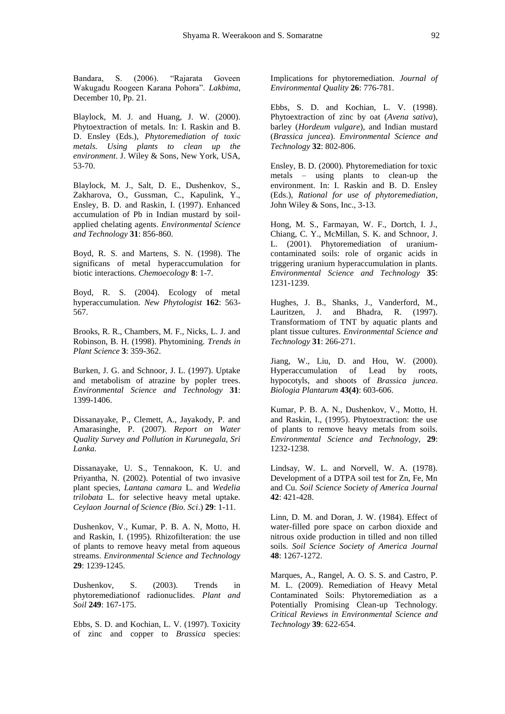Bandara, S. (2006). "Rajarata Goveen Wakugadu Roogeen Karana Pohora". *Lakbima*, December 10, Pp. 21.

Blaylock, M. J. and Huang, J. W. (2000). Phytoextraction of metals. In: I. Raskin and B. D. Ensley (Eds.), *Phytoremediation of toxic metals. Using plants to clean up the environment*. J. Wiley & Sons, New York, USA, 53-70.

Blaylock, M. J., Salt, D. E., Dushenkov, S., Zakharova, O., Gussman, C., Kapulink, Y., Ensley, B. D. and Raskin, I. (1997). Enhanced accumulation of Pb in Indian mustard by soilapplied chelating agents. *Environmental Science and Technology* **31**: 856-860.

Boyd, R. S. and Martens, S. N. (1998). The significans of metal hyperaccumulation for biotic interactions. *Chemoecology* **8**: 1-7.

Boyd, R. S. (2004). Ecology of metal hyperaccumulation. *New Phytologist* **162**: 563- 567.

Brooks, R. R., Chambers, M. F., Nicks, L. J. and Robinson, B. H. (1998). Phytomining. *Trends in Plant Science* **3**: 359-362.

Burken, J. G. and Schnoor, J. L. (1997). Uptake and metabolism of atrazine by popler trees. *Environmental Science and Technology* **31**: 1399-1406.

Dissanayake, P., Clemett, A., Jayakody, P. and Amarasinghe, P. (2007). *Report on Water Quality Survey and Pollution in Kurunegala, Sri Lanka.*

Dissanayake, U. S., Tennakoon, K. U. and Priyantha, N. (2002). Potential of two invasive plant species, *Lantana camara* L. and *Wedelia trilobata* L. for selective heavy metal uptake. *Ceylaon Journal of Science (Bio. Sci*.) **29**: 1-11.

Dushenkov, V., Kumar, P. B. A. N, Motto, H. and Raskin, I. (1995). Rhizofilteration: the use of plants to remove heavy metal from aqueous streams. *Environmental Science and Technology* **29**: 1239-1245.

Dushenkov, S. (2003). Trends in phytoremediationof radionuclides. *Plant and Soil* **249**: 167-175.

Ebbs, S. D. and Kochian, L. V. (1997). Toxicity of zinc and copper to *Brassica* species: Implications for phytoremediation. *Journal of Environmental Quality* **26**: 776-781.

Ebbs, S. D. and Kochian, L. V. (1998). Phytoextraction of zinc by oat (*Avena sativa*), barley (*Hordeum vulgare*), and Indian mustard (*Brassica juncea*). *Environmental Science and Technology* **32**: 802-806.

Ensley, B. D. (2000). Phytoremediation for toxic metals – using plants to clean-up the environment. In: I. Raskin and B. D. Ensley (Eds.), *Rational for use of phytoremediation*, John Wiley & Sons, Inc., 3-13.

Hong, M. S., Farmayan, W. F., Dortch, I. J., Chiang, C. Y., McMillan, S. K. and Schnoor, J. L. (2001). Phytoremediation of uraniumcontaminated soils: role of organic acids in triggering uranium hyperaccumulation in plants. *Environmental Science and Technology* **35**: 1231-1239.

Hughes, J. B., Shanks, J., Vanderford, M., Lauritzen, J. and Bhadra, R. (1997). Transformatiom of TNT by aquatic plants and plant tissue cultures. *Environmental Science and Technology* **31**: 266-271.

Jiang, W., Liu, D. and Hou, W. (2000). Hyperaccumulation of Lead by roots, hypocotyls, and shoots of *Brassica juncea*. *Biologia Plantarum* **43(4)**: 603-606.

Kumar, P. B. A. N., Dushenkov, V., Motto, H. and Raskin, I., (1995). Phytoextraction: the use of plants to remove heavy metals from soils. *Environmental Science and Technology*, **29**: 1232-1238.

Lindsay, W. L. and Norvell, W. A. (1978). Development of a DTPA soil test for Zn, Fe, Mn and Cu. *Soil Science Society of America Journal* **42**: 421-428.

Linn, D. M. and Doran, J. W. (1984). Effect of water-filled pore space on carbon dioxide and nitrous oxide production in tilled and non tilled soils. *Soil Science Society of America Journal* **48**: 1267-1272.

Marques, A., Rangel, A. O. S. S. and Castro, P. M. L. (2009). Remediation of Heavy Metal Contaminated Soils: Phytoremediation as a Potentially Promising Clean-up Technology. *Critical Reviews in Environmental Science and Technology* **39**: 622-654.